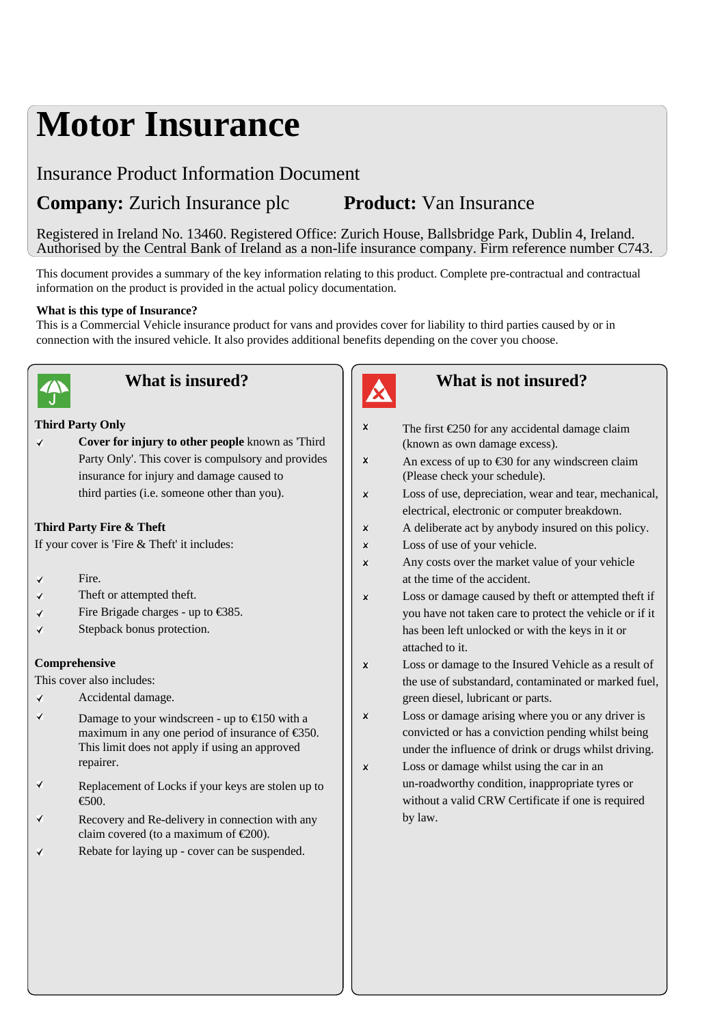# **Motor Insurance**

# Insurance Product Information Document

# **Company:** Zurich Insurance plc **Product:** Van Insurance

Registered in Ireland No. 13460. Registered Office: Zurich House, Ballsbridge Park, Dublin 4, Ireland. Authorised by the Central Bank of Ireland as a non-life insurance company. Firm reference number C743.

This document provides a summary of the key information relating to this product. Complete pre-contractual and contractual information on the product is provided in the actual policy documentation.

#### **What is this type of Insurance?**

This is a Commercial Vehicle insurance product for vans and provides cover for liability to third parties caused by or in connection with the insured vehicle. It also provides additional benefits depending on the cover you choose.



# **What is insured?**

#### **Third Party Only**

**Cover for injury to other people** known as 'Third  $\checkmark$ Party Only'. This cover is compulsory and provides  $|| \cdot \times ||$ insurance for injury and damage caused to third parties (i.e. someone other than you).

#### **Third Party Fire & Theft**

If your cover is 'Fire & Theft' it includes:

- Fire. ✔
- $\checkmark$ Theft or attempted theft.
- $\checkmark$ Fire Brigade charges - up to €385.
- Stepback bonus protection.  $\checkmark$

#### **Comprehensive**

This cover also includes:

- Accidental damage.  $\checkmark$
- $\overline{\mathbf{v}}$ Damage to your windscreen - up to  $\bigoplus$  50 with a  $\Big|$   $\times$ maximum in any one period of insurance of €350. This limit does not apply if using an approved repairer.
- ✔ Replacement of Locks if your keys are stolen up to €500.
- $\checkmark$ Recovery and Re-delivery in connection with any claim covered (to a maximum of  $\epsilon 200$ ).
- Rebate for laying up cover can be suspended.  $\overline{\checkmark}$



#### **What is not insured?**

 $\bar{\mathbf{x}}$ The first  $\epsilon$ 250 for any accidental damage claim (known as own damage excess). An excess of up to  $\text{\textsterling}0$  for any windscreen claim (Please check your schedule).  $\mathbf{x}$ Loss of use, depreciation, wear and tear, mechanical, electrical, electronic or computer breakdown. A deliberate act by anybody insured on this policy.  $\mathbf{x}$  $\mathbf{x}$ Loss of use of your vehicle.  $\mathbf{x}$ Any costs over the market value of your vehicle at the time of the accident.  $\mathbf{x}$ Loss or damage caused by theft or attempted theft if you have not taken care to protect the vehicle or if it has been left unlocked or with the keys in it or attached to it.  $\bar{\mathbf{x}}$ Loss or damage to the Insured Vehicle as a result of the use of substandard, contaminated or marked fuel, green diesel, lubricant or parts. Loss or damage arising where you or any driver is convicted or has a conviction pending whilst being under the influence of drink or drugs whilst driving.  $\mathbf{x}$ Loss or damage whilst using the car in an un-roadworthy condition, inappropriate tyres or without a valid CRW Certificate if one is required by law.